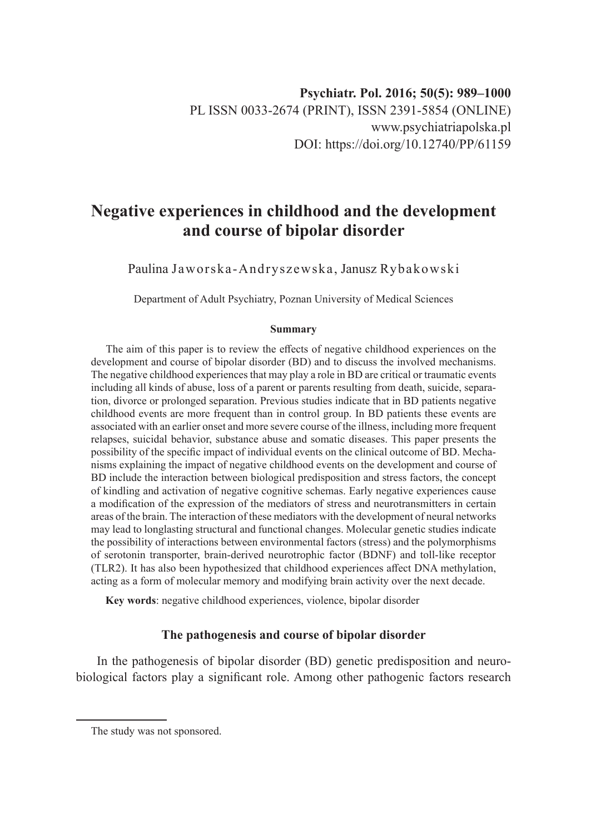# **Negative experiences in childhood and the development and course of bipolar disorder**

Paulina Jaworska-Andryszewska, Janusz Rybakowski

Department of Adult Psychiatry, Poznan University of Medical Sciences

#### **Summary**

The aim of this paper is to review the effects of negative childhood experiences on the development and course of bipolar disorder (BD) and to discuss the involved mechanisms. The negative childhood experiences that may play a role in BD are critical or traumatic events including all kinds of abuse, loss of a parent or parents resulting from death, suicide, separation, divorce or prolonged separation. Previous studies indicate that in BD patients negative childhood events are more frequent than in control group. In BD patients these events are associated with an earlier onset and more severe course of the illness, including more frequent relapses, suicidal behavior, substance abuse and somatic diseases. This paper presents the possibility of the specific impact of individual events on the clinical outcome of BD. Mechanisms explaining the impact of negative childhood events on the development and course of BD include the interaction between biological predisposition and stress factors, the concept of kindling and activation of negative cognitive schemas. Early negative experiences cause a modification of the expression of the mediators of stress and neurotransmitters in certain areas of the brain. The interaction of these mediators with the development of neural networks may lead to longlasting structural and functional changes. Molecular genetic studies indicate the possibility of interactions between environmental factors (stress) and the polymorphisms of serotonin transporter, brain-derived neurotrophic factor (BDNF) and toll-like receptor (TLR2). It has also been hypothesized that childhood experiences affect DNA methylation, acting as a form of molecular memory and modifying brain activity over the next decade.

**Key words**: negative childhood experiences, violence, bipolar disorder

# **The pathogenesis and course of bipolar disorder**

In the pathogenesis of bipolar disorder (BD) genetic predisposition and neurobiological factors play a significant role. Among other pathogenic factors research

The study was not sponsored.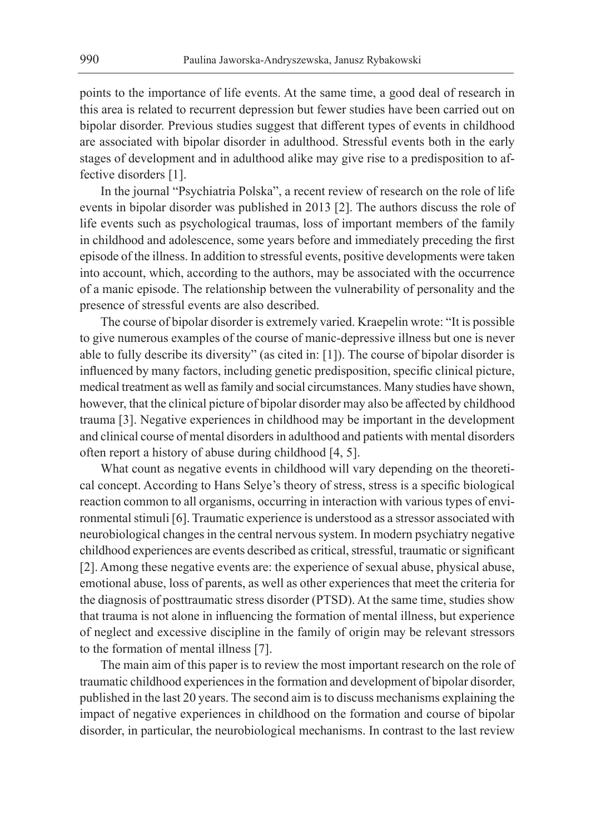points to the importance of life events. At the same time, a good deal of research in this area is related to recurrent depression but fewer studies have been carried out on bipolar disorder. Previous studies suggest that different types of events in childhood are associated with bipolar disorder in adulthood. Stressful events both in the early stages of development and in adulthood alike may give rise to a predisposition to affective disorders [1].

In the journal "Psychiatria Polska", a recent review of research on the role of life events in bipolar disorder was published in 2013 [2]. The authors discuss the role of life events such as psychological traumas, loss of important members of the family in childhood and adolescence, some years before and immediately preceding the first episode of the illness. In addition to stressful events, positive developments were taken into account, which, according to the authors, may be associated with the occurrence of a manic episode. The relationship between the vulnerability of personality and the presence of stressful events are also described.

The course of bipolar disorder is extremely varied. Kraepelin wrote: "It is possible to give numerous examples of the course of manic-depressive illness but one is never able to fully describe its diversity" (as cited in: [1]). The course of bipolar disorder is influenced by many factors, including genetic predisposition, specific clinical picture, medical treatment as well as family and social circumstances. Many studies have shown, however, that the clinical picture of bipolar disorder may also be affected by childhood trauma [3]. Negative experiences in childhood may be important in the development and clinical course of mental disorders in adulthood and patients with mental disorders often report a history of abuse during childhood [4, 5].

What count as negative events in childhood will vary depending on the theoretical concept. According to Hans Selye's theory of stress, stress is a specific biological reaction common to all organisms, occurring in interaction with various types of environmental stimuli [6]. Traumatic experience is understood as a stressor associated with neurobiological changes in the central nervous system. In modern psychiatry negative childhood experiences are events described as critical, stressful, traumatic or significant [2]. Among these negative events are: the experience of sexual abuse, physical abuse, emotional abuse, loss of parents, as well as other experiences that meet the criteria for the diagnosis of posttraumatic stress disorder (PTSD). At the same time, studies show that trauma is not alone in influencing the formation of mental illness, but experience of neglect and excessive discipline in the family of origin may be relevant stressors to the formation of mental illness [7].

The main aim of this paper is to review the most important research on the role of traumatic childhood experiences in the formation and development of bipolar disorder, published in the last 20 years. The second aim is to discuss mechanisms explaining the impact of negative experiences in childhood on the formation and course of bipolar disorder, in particular, the neurobiological mechanisms. In contrast to the last review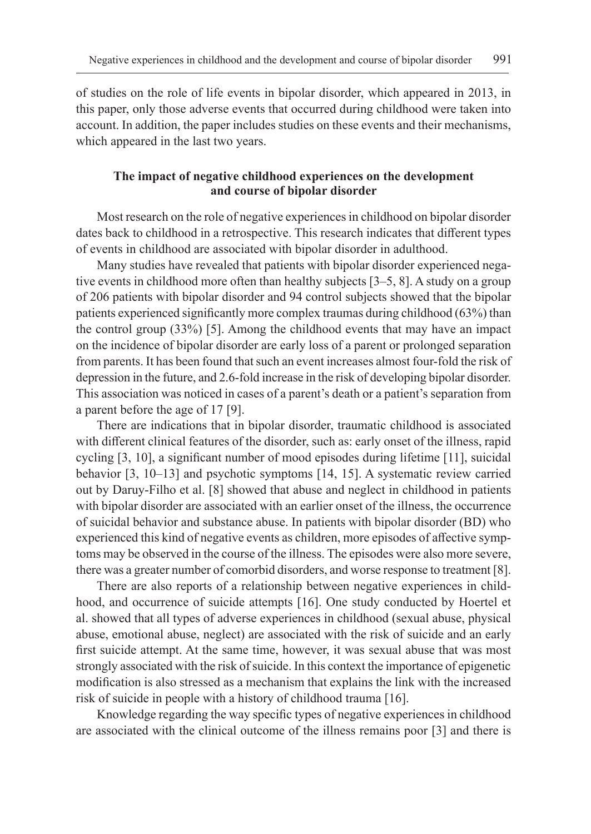of studies on the role of life events in bipolar disorder, which appeared in 2013, in this paper, only those adverse events that occurred during childhood were taken into account. In addition, the paper includes studies on these events and their mechanisms, which appeared in the last two years.

## **The impact of negative childhood experiences on the development and course of bipolar disorder**

Most research on the role of negative experiences in childhood on bipolar disorder dates back to childhood in a retrospective. This research indicates that different types of events in childhood are associated with bipolar disorder in adulthood.

Many studies have revealed that patients with bipolar disorder experienced negative events in childhood more often than healthy subjects [3–5, 8]. A study on a group of 206 patients with bipolar disorder and 94 control subjects showed that the bipolar patients experienced significantly more complex traumas during childhood (63%) than the control group (33%) [5]. Among the childhood events that may have an impact on the incidence of bipolar disorder are early loss of a parent or prolonged separation from parents. It has been found that such an event increases almost four-fold the risk of depression in the future, and 2.6-fold increase in the risk of developing bipolar disorder. This association was noticed in cases of a parent's death or a patient's separation from a parent before the age of 17 [9].

There are indications that in bipolar disorder, traumatic childhood is associated with different clinical features of the disorder, such as: early onset of the illness, rapid cycling [3, 10], a significant number of mood episodes during lifetime [11], suicidal behavior [3, 10–13] and psychotic symptoms [14, 15]. A systematic review carried out by Daruy-Filho et al. [8] showed that abuse and neglect in childhood in patients with bipolar disorder are associated with an earlier onset of the illness, the occurrence of suicidal behavior and substance abuse. In patients with bipolar disorder (BD) who experienced this kind of negative events as children, more episodes of affective symptoms may be observed in the course of the illness. The episodes were also more severe, there was a greater number of comorbid disorders, and worse response to treatment [8].

There are also reports of a relationship between negative experiences in childhood, and occurrence of suicide attempts [16]. One study conducted by Hoertel et al. showed that all types of adverse experiences in childhood (sexual abuse, physical abuse, emotional abuse, neglect) are associated with the risk of suicide and an early first suicide attempt. At the same time, however, it was sexual abuse that was most strongly associated with the risk of suicide. In this context the importance of epigenetic modification is also stressed as a mechanism that explains the link with the increased risk of suicide in people with a history of childhood trauma [16].

Knowledge regarding the way specific types of negative experiences in childhood are associated with the clinical outcome of the illness remains poor [3] and there is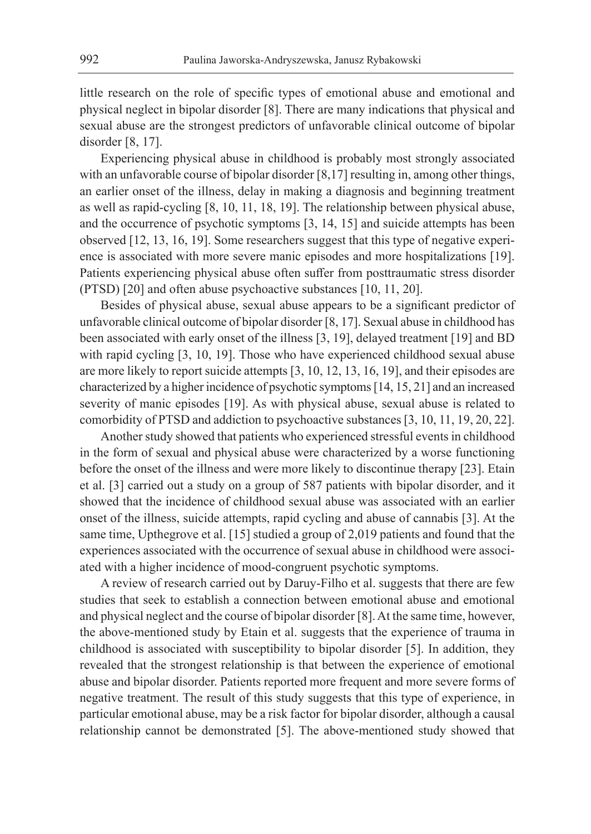little research on the role of specific types of emotional abuse and emotional and physical neglect in bipolar disorder [8]. There are many indications that physical and sexual abuse are the strongest predictors of unfavorable clinical outcome of bipolar disorder [8, 17].

Experiencing physical abuse in childhood is probably most strongly associated with an unfavorable course of bipolar disorder [8,17] resulting in, among other things, an earlier onset of the illness, delay in making a diagnosis and beginning treatment as well as rapid-cycling [8, 10, 11, 18, 19]. The relationship between physical abuse, and the occurrence of psychotic symptoms [3, 14, 15] and suicide attempts has been observed [12, 13, 16, 19]. Some researchers suggest that this type of negative experience is associated with more severe manic episodes and more hospitalizations [19]. Patients experiencing physical abuse often suffer from posttraumatic stress disorder (PTSD) [20] and often abuse psychoactive substances [10, 11, 20].

Besides of physical abuse, sexual abuse appears to be a significant predictor of unfavorable clinical outcome of bipolar disorder [8, 17]. Sexual abuse in childhood has been associated with early onset of the illness [3, 19], delayed treatment [19] and BD with rapid cycling [3, 10, 19]. Those who have experienced childhood sexual abuse are more likely to report suicide attempts [3, 10, 12, 13, 16, 19], and their episodes are characterized by a higher incidence of psychotic symptoms [14, 15, 21] and an increased severity of manic episodes [19]. As with physical abuse, sexual abuse is related to comorbidity of PTSD and addiction to psychoactive substances [3, 10, 11, 19, 20, 22].

Another study showed that patients who experienced stressful events in childhood in the form of sexual and physical abuse were characterized by a worse functioning before the onset of the illness and were more likely to discontinue therapy [23]. Etain et al. [3] carried out a study on a group of 587 patients with bipolar disorder, and it showed that the incidence of childhood sexual abuse was associated with an earlier onset of the illness, suicide attempts, rapid cycling and abuse of cannabis [3]. At the same time, Upthegrove et al. [15] studied a group of 2,019 patients and found that the experiences associated with the occurrence of sexual abuse in childhood were associated with a higher incidence of mood-congruent psychotic symptoms.

A review of research carried out by Daruy-Filho et al. suggests that there are few studies that seek to establish a connection between emotional abuse and emotional and physical neglect and the course of bipolar disorder [8]. At the same time, however, the above-mentioned study by Etain et al. suggests that the experience of trauma in childhood is associated with susceptibility to bipolar disorder [5]. In addition, they revealed that the strongest relationship is that between the experience of emotional abuse and bipolar disorder. Patients reported more frequent and more severe forms of negative treatment. The result of this study suggests that this type of experience, in particular emotional abuse, may be a risk factor for bipolar disorder, although a causal relationship cannot be demonstrated [5]. The above-mentioned study showed that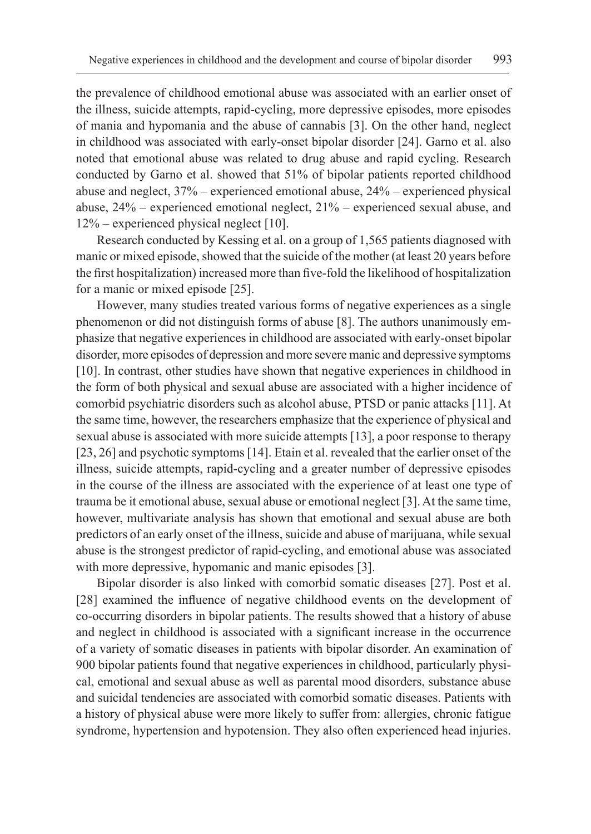the prevalence of childhood emotional abuse was associated with an earlier onset of the illness, suicide attempts, rapid-cycling, more depressive episodes, more episodes of mania and hypomania and the abuse of cannabis [3]. On the other hand, neglect in childhood was associated with early-onset bipolar disorder [24]. Garno et al. also noted that emotional abuse was related to drug abuse and rapid cycling. Research conducted by Garno et al. showed that 51% of bipolar patients reported childhood abuse and neglect, 37% – experienced emotional abuse, 24% – experienced physical abuse, 24% – experienced emotional neglect, 21% – experienced sexual abuse, and 12% – experienced physical neglect [10].

Research conducted by Kessing et al. on a group of 1,565 patients diagnosed with manic or mixed episode, showed that the suicide of the mother (at least 20 years before the first hospitalization) increased more than five-fold the likelihood of hospitalization for a manic or mixed episode [25].

However, many studies treated various forms of negative experiences as a single phenomenon or did not distinguish forms of abuse [8]. The authors unanimously emphasize that negative experiences in childhood are associated with early-onset bipolar disorder, more episodes of depression and more severe manic and depressive symptoms [10]. In contrast, other studies have shown that negative experiences in childhood in the form of both physical and sexual abuse are associated with a higher incidence of comorbid psychiatric disorders such as alcohol abuse, PTSD or panic attacks [11]. At the same time, however, the researchers emphasize that the experience of physical and sexual abuse is associated with more suicide attempts [13], a poor response to therapy [23, 26] and psychotic symptoms [14]. Etain et al. revealed that the earlier onset of the illness, suicide attempts, rapid-cycling and a greater number of depressive episodes in the course of the illness are associated with the experience of at least one type of trauma be it emotional abuse, sexual abuse or emotional neglect [3]. At the same time, however, multivariate analysis has shown that emotional and sexual abuse are both predictors of an early onset of the illness, suicide and abuse of marijuana, while sexual abuse is the strongest predictor of rapid-cycling, and emotional abuse was associated with more depressive, hypomanic and manic episodes [3].

Bipolar disorder is also linked with comorbid somatic diseases [27]. Post et al. [28] examined the influence of negative childhood events on the development of co-occurring disorders in bipolar patients. The results showed that a history of abuse and neglect in childhood is associated with a significant increase in the occurrence of a variety of somatic diseases in patients with bipolar disorder. An examination of 900 bipolar patients found that negative experiences in childhood, particularly physical, emotional and sexual abuse as well as parental mood disorders, substance abuse and suicidal tendencies are associated with comorbid somatic diseases. Patients with a history of physical abuse were more likely to suffer from: allergies, chronic fatigue syndrome, hypertension and hypotension. They also often experienced head injuries.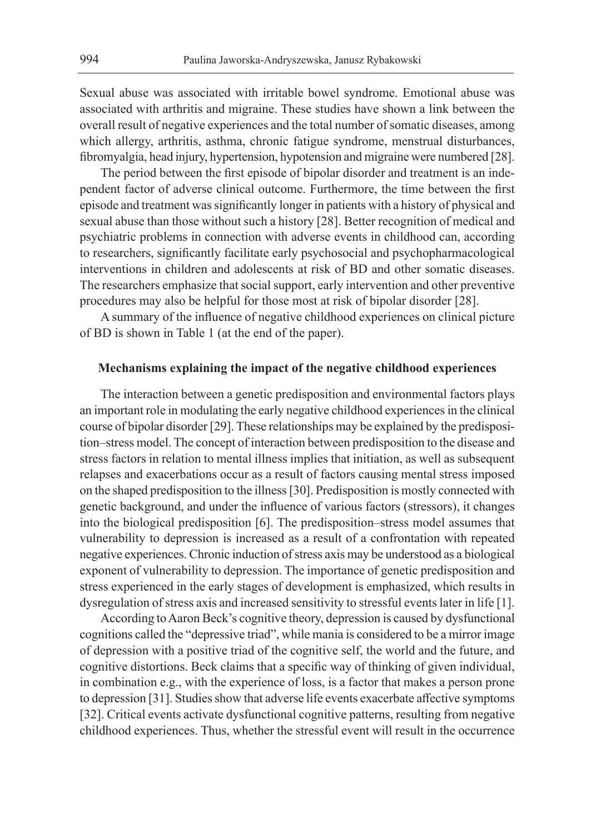Sexual abuse was associated with irritable bowel syndrome. Emotional abuse was associated with arthritis and migraine. These studies have shown a link between the overall result of negative experiences and the total number of somatic diseases, among which allergy, arthritis, asthma, chronic fatigue syndrome, menstrual disturbances, fibromyalgia, head injury, hypertension, hypotension and migraine were numbered [28].

The period between the first episode of bipolar disorder and treatment is an independent factor of adverse clinical outcome. Furthermore, the time between the first episode and treatment was significantly longer in patients with a history of physical and sexual abuse than those without such a history [28]. Better recognition of medical and psychiatric problems in connection with adverse events in childhood can, according to researchers, significantly facilitate early psychosocial and psychopharmacological interventions in children and adolescents at risk of BD and other somatic diseases. The researchers emphasize that social support, early intervention and other preventive procedures may also be helpful for those most at risk of bipolar disorder [28].

A summary of the influence of negative childhood experiences on clinical picture of BD is shown in Table 1 (at the end of the paper).

## **Mechanisms explaining the impact of the negative childhood experiences**

The interaction between a genetic predisposition and environmental factors plays an important role in modulating the early negative childhood experiences in the clinical course of bipolar disorder [29]. These relationships may be explained by the predisposition–stress model. The concept of interaction between predisposition to the disease and stress factors in relation to mental illness implies that initiation, as well as subsequent relapses and exacerbations occur as a result of factors causing mental stress imposed on the shaped predisposition to the illness [30]. Predisposition is mostly connected with genetic background, and under the influence of various factors (stressors), it changes into the biological predisposition [6]. The predisposition–stress model assumes that vulnerability to depression is increased as a result of a confrontation with repeated negative experiences. Chronic induction of stress axis may be understood as a biological exponent of vulnerability to depression. The importance of genetic predisposition and stress experienced in the early stages of development is emphasized, which results in dysregulation of stress axis and increased sensitivity to stressful events later in life [1].

According to Aaron Beck's cognitive theory, depression is caused by dysfunctional cognitions called the "depressive triad", while mania is considered to be a mirror image of depression with a positive triad of the cognitive self, the world and the future, and cognitive distortions. Beck claims that a specific way of thinking of given individual, in combination e.g., with the experience of loss, is a factor that makes a person prone to depression [31]. Studies show that adverse life events exacerbate affective symptoms [32]. Critical events activate dysfunctional cognitive patterns, resulting from negative childhood experiences. Thus, whether the stressful event will result in the occurrence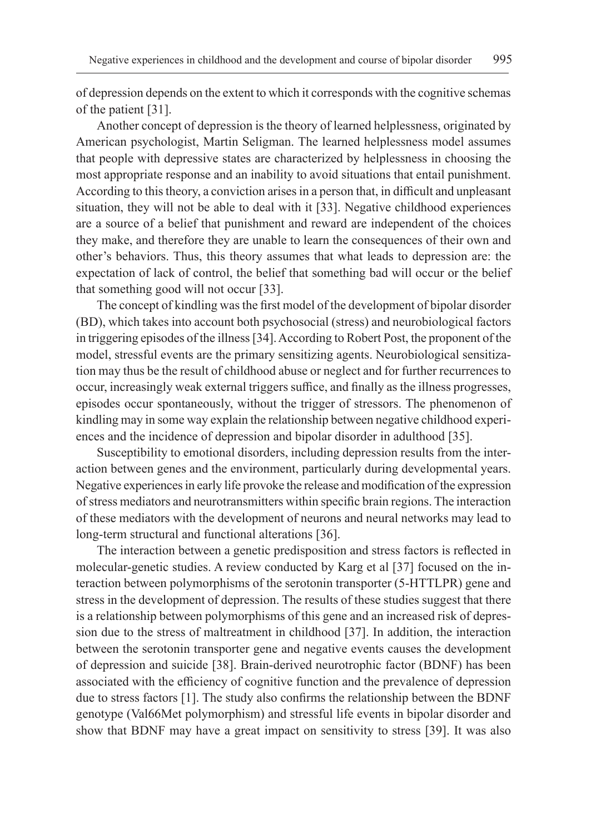of depression depends on the extent to which it corresponds with the cognitive schemas of the patient [31].

Another concept of depression is the theory of learned helplessness, originated by American psychologist, Martin Seligman. The learned helplessness model assumes that people with depressive states are characterized by helplessness in choosing the most appropriate response and an inability to avoid situations that entail punishment. According to this theory, a conviction arises in a person that, in difficult and unpleasant situation, they will not be able to deal with it [33]. Negative childhood experiences are a source of a belief that punishment and reward are independent of the choices they make, and therefore they are unable to learn the consequences of their own and other's behaviors. Thus, this theory assumes that what leads to depression are: the expectation of lack of control, the belief that something bad will occur or the belief that something good will not occur [33].

The concept of kindling was the first model of the development of bipolar disorder (BD), which takes into account both psychosocial (stress) and neurobiological factors in triggering episodes of the illness [34]. According to Robert Post, the proponent of the model, stressful events are the primary sensitizing agents. Neurobiological sensitization may thus be the result of childhood abuse or neglect and for further recurrences to occur, increasingly weak external triggers suffice, and finally as the illness progresses, episodes occur spontaneously, without the trigger of stressors. The phenomenon of kindling may in some way explain the relationship between negative childhood experiences and the incidence of depression and bipolar disorder in adulthood [35].

Susceptibility to emotional disorders, including depression results from the interaction between genes and the environment, particularly during developmental years. Negative experiences in early life provoke the release and modification of the expression of stress mediators and neurotransmitters within specific brain regions. The interaction of these mediators with the development of neurons and neural networks may lead to long-term structural and functional alterations [36].

The interaction between a genetic predisposition and stress factors is reflected in molecular-genetic studies. A review conducted by Karg et al [37] focused on the interaction between polymorphisms of the serotonin transporter (5-HTTLPR) gene and stress in the development of depression. The results of these studies suggest that there is a relationship between polymorphisms of this gene and an increased risk of depression due to the stress of maltreatment in childhood [37]. In addition, the interaction between the serotonin transporter gene and negative events causes the development of depression and suicide [38]. Brain-derived neurotrophic factor (BDNF) has been associated with the efficiency of cognitive function and the prevalence of depression due to stress factors [1]. The study also confirms the relationship between the BDNF genotype (Val66Met polymorphism) and stressful life events in bipolar disorder and show that BDNF may have a great impact on sensitivity to stress [39]. It was also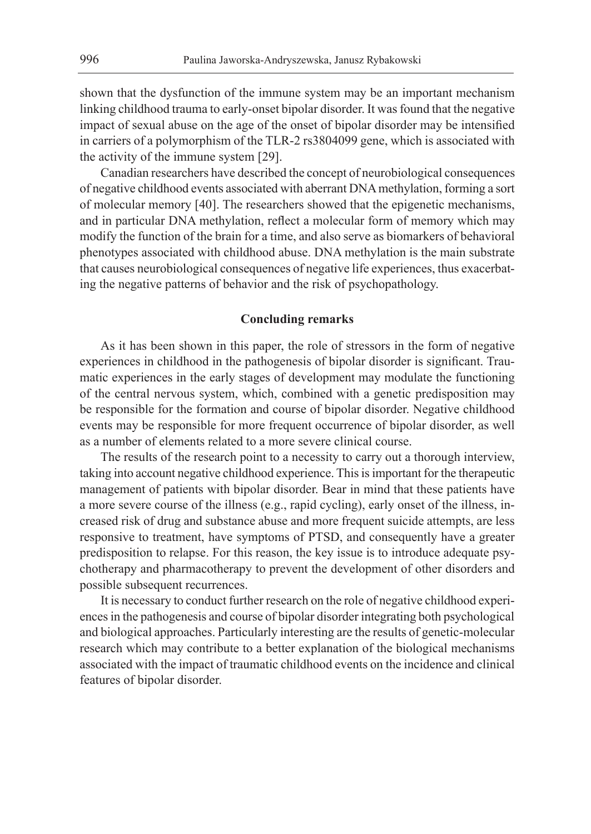shown that the dysfunction of the immune system may be an important mechanism linking childhood trauma to early-onset bipolar disorder. It was found that the negative impact of sexual abuse on the age of the onset of bipolar disorder may be intensified in carriers of a polymorphism of the TLR-2 rs3804099 gene, which is associated with the activity of the immune system [29].

Canadian researchers have described the concept of neurobiological consequences of negative childhood events associated with aberrant DNA methylation, forming a sort of molecular memory [40]. The researchers showed that the epigenetic mechanisms, and in particular DNA methylation, reflect a molecular form of memory which may modify the function of the brain for a time, and also serve as biomarkers of behavioral phenotypes associated with childhood abuse. DNA methylation is the main substrate that causes neurobiological consequences of negative life experiences, thus exacerbating the negative patterns of behavior and the risk of psychopathology.

## **Concluding remarks**

As it has been shown in this paper, the role of stressors in the form of negative experiences in childhood in the pathogenesis of bipolar disorder is significant. Traumatic experiences in the early stages of development may modulate the functioning of the central nervous system, which, combined with a genetic predisposition may be responsible for the formation and course of bipolar disorder. Negative childhood events may be responsible for more frequent occurrence of bipolar disorder, as well as a number of elements related to a more severe clinical course.

The results of the research point to a necessity to carry out a thorough interview, taking into account negative childhood experience. This is important for the therapeutic management of patients with bipolar disorder. Bear in mind that these patients have a more severe course of the illness (e.g., rapid cycling), early onset of the illness, increased risk of drug and substance abuse and more frequent suicide attempts, are less responsive to treatment, have symptoms of PTSD, and consequently have a greater predisposition to relapse. For this reason, the key issue is to introduce adequate psychotherapy and pharmacotherapy to prevent the development of other disorders and possible subsequent recurrences.

It is necessary to conduct further research on the role of negative childhood experiences in the pathogenesis and course of bipolar disorder integrating both psychological and biological approaches. Particularly interesting are the results of genetic-molecular research which may contribute to a better explanation of the biological mechanisms associated with the impact of traumatic childhood events on the incidence and clinical features of bipolar disorder.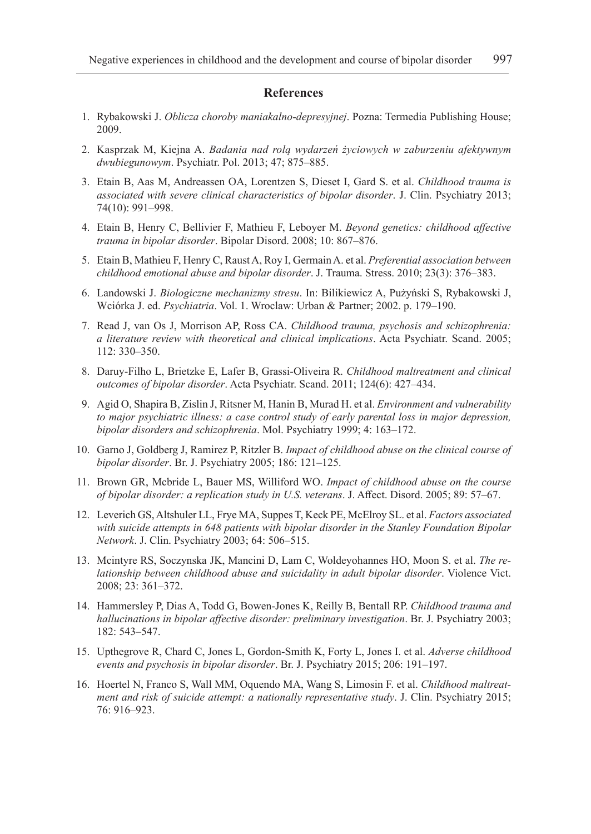#### **References**

- 1. Rybakowski J. *Oblicza choroby maniakalno-depresyjnej*. Pozna: Termedia Publishing House; 2009.
- 2. Kasprzak M, Kiejna A. *Badania nad rolą wydarzeń życiowych w zaburzeniu afektywnym dwubiegunowym*. Psychiatr. Pol. 2013; 47; 875–885.
- 3. Etain B, Aas M, Andreassen OA, Lorentzen S, Dieset I, Gard S. et al. *Childhood trauma is associated with severe clinical characteristics of bipolar disorder*. J. Clin. Psychiatry 2013; 74(10): 991–998.
- 4. Etain B, Henry C, Bellivier F, Mathieu F, Leboyer M. *Beyond genetics: childhood affective trauma in bipolar disorder*. Bipolar Disord. 2008; 10: 867–876.
- 5. Etain B, Mathieu F, Henry C, Raust A, Roy I, Germain A. et al. *Preferential association between childhood emotional abuse and bipolar disorder*. J. Trauma. Stress. 2010; 23(3): 376–383.
- 6. Landowski J. *Biologiczne mechanizmy stresu*. In: Bilikiewicz A, Pużyński S, Rybakowski J, Wciórka J. ed. *Psychiatria*. Vol. 1. Wroclaw: Urban & Partner; 2002. p. 179–190.
- 7. Read J, van Os J, Morrison AP, Ross CA. *Childhood trauma, psychosis and schizophrenia: a literature review with theoretical and clinical implications*. Acta Psychiatr. Scand. 2005; 112: 330–350.
- 8. Daruy-Filho L, Brietzke E, Lafer B, Grassi-Oliveira R. *Childhood maltreatment and clinical outcomes of bipolar disorder*. Acta Psychiatr. Scand. 2011; 124(6): 427–434.
- 9. Agid O, Shapira B, Zislin J, Ritsner M, Hanin B, Murad H. et al. *Environment and vulnerability to major psychiatric illness: a case control study of early parental loss in major depression, bipolar disorders and schizophrenia*. Mol. Psychiatry 1999; 4: 163–172.
- 10. Garno J, Goldberg J, Ramirez P, Ritzler B. *Impact of childhood abuse on the clinical course of bipolar disorder*. Br. J. Psychiatry 2005; 186: 121–125.
- 11. Brown GR, Mcbride L, Bauer MS, Williford WO. *Impact of childhood abuse on the course of bipolar disorder: a replication study in U.S. veterans*. J. Affect. Disord. 2005; 89: 57–67.
- 12. Leverich GS, Altshuler LL, Frye MA, Suppes T, Keck PE, McElroy SL. et al. *Factors associated with suicide attempts in 648 patients with bipolar disorder in the Stanley Foundation Bipolar Network*. J. Clin. Psychiatry 2003; 64: 506–515.
- 13. Mcintyre RS, Soczynska JK, Mancini D, Lam C, Woldeyohannes HO, Moon S. et al. *The relationship between childhood abuse and suicidality in adult bipolar disorder*. Violence Vict. 2008; 23: 361–372.
- 14. Hammersley P, Dias A, Todd G, Bowen-Jones K, Reilly B, Bentall RP. *Childhood trauma and hallucinations in bipolar affective disorder: preliminary investigation*. Br. J. Psychiatry 2003; 182: 543–547.
- 15. Upthegrove R, Chard C, Jones L, Gordon-Smith K, Forty L, Jones I. et al. *Adverse childhood events and psychosis in bipolar disorder*. Br. J. Psychiatry 2015; 206: 191–197.
- 16. Hoertel N, Franco S, Wall MM, Oquendo MA, Wang S, Limosin F. et al. *Childhood maltreatment and risk of suicide attempt: a nationally representative study*. J. Clin. Psychiatry 2015; 76: 916–923.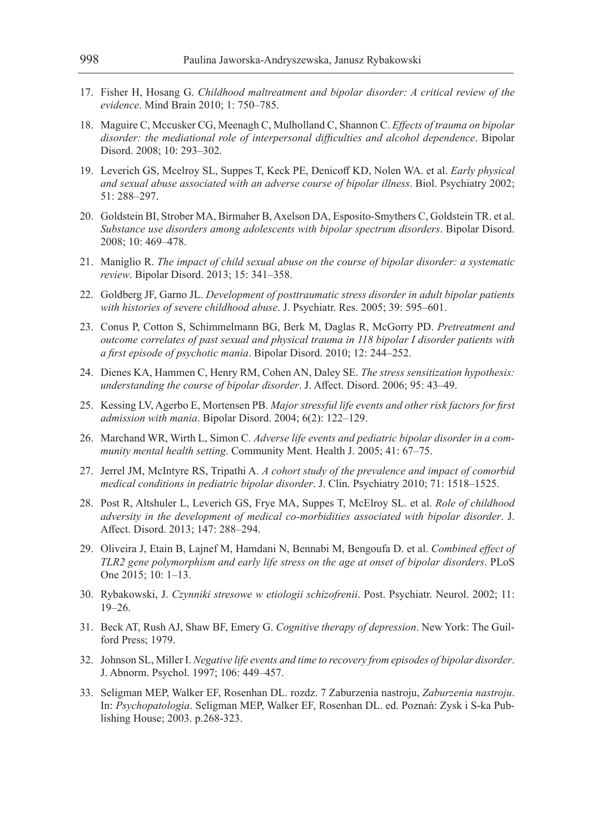- 17. Fisher H, Hosang G. *Childhood maltreatment and bipolar disorder: A critical review of the evidence*. Mind Brain 2010; 1: 750–785.
- 18. Maguire C, Mccusker CG, Meenagh C, Mulholland C, Shannon C. *Effects of trauma on bipolar disorder: the mediational role of interpersonal difficulties and alcohol dependence*. Bipolar Disord. 2008; 10: 293–302.
- 19. Leverich GS, Mcelroy SL, Suppes T, Keck PE, Denicoff KD, Nolen WA. et al. *Early physical and sexual abuse associated with an adverse course of bipolar illness*. Biol. Psychiatry 2002; 51: 288–297.
- 20. Goldstein BI, Strober MA, Birmaher B, Axelson DA, Esposito-Smythers C, Goldstein TR. et al. *Substance use disorders among adolescents with bipolar spectrum disorders*. Bipolar Disord. 2008; 10: 469–478.
- 21. Maniglio R. *The impact of child sexual abuse on the course of bipolar disorder: a systematic review*. Bipolar Disord. 2013; 15: 341–358.
- 22. Goldberg JF, Garno JL. *Development of posttraumatic stress disorder in adult bipolar patients with histories of severe childhood abuse*. J. Psychiatr. Res. 2005; 39: 595–601.
- 23. Conus P, Cotton S, Schimmelmann BG, Berk M, Daglas R, McGorry PD. *Pretreatment and outcome correlates of past sexual and physical trauma in 118 bipolar I disorder patients with a first episode of psychotic mania*. Bipolar Disord. 2010; 12: 244–252.
- 24. Dienes KA, Hammen C, Henry RM, Cohen AN, Daley SE. *The stress sensitization hypothesis: understanding the course of bipolar disorder*. J. Affect. Disord. 2006; 95: 43–49.
- 25. Kessing LV, Agerbo E, Mortensen PB. *Major stressful life events and other risk factors for first admission with mania*. Bipolar Disord. 2004; 6(2): 122–129.
- 26. Marchand WR, Wirth L, Simon C. *Adverse life events and pediatric bipolar disorder in a community mental health setting*. Community Ment. Health J. 2005; 41: 67–75.
- 27. Jerrel JM, McIntyre RS, Tripathi A. *A cohort study of the prevalence and impact of comorbid medical conditions in pediatric bipolar disorder*. J. Clin. Psychiatry 2010; 71: 1518–1525.
- 28. Post R, Altshuler L, Leverich GS, Frye MA, Suppes T, McElroy SL. et al. *Role of childhood adversity in the development of medical co-morbidities associated with bipolar disorder*. J. Affect. Disord. 2013; 147: 288–294.
- 29. Oliveira J, Etain B, Lajnef M, Hamdani N, Bennabi M, Bengoufa D. et al. *Combined effect of TLR2 gene polymorphism and early life stress on the age at onset of bipolar disorders*. PLoS One 2015; 10: 1–13.
- 30. Rybakowski, J. *Czynniki stresowe w etiologii schizofrenii*. Post. Psychiatr. Neurol. 2002; 11: 19–26.
- 31. Beck AT, Rush AJ, Shaw BF, Emery G. *Cognitive therapy of depression*. New York: The Guilford Press; 1979.
- 32. Johnson SL, Miller I. *Negative life events and time to recovery from episodes of bipolar disorder*. J. Abnorm. Psychol. 1997; 106: 449–457.
- 33. Seligman MEP, Walker EF, Rosenhan DL. rozdz. 7 Zaburzenia nastroju, *Zaburzenia nastroju*. In: *Psychopatologia*. Seligman MEP, Walker EF, Rosenhan DL. ed. Poznań: Zysk i S-ka Publishing House; 2003. p.268-323.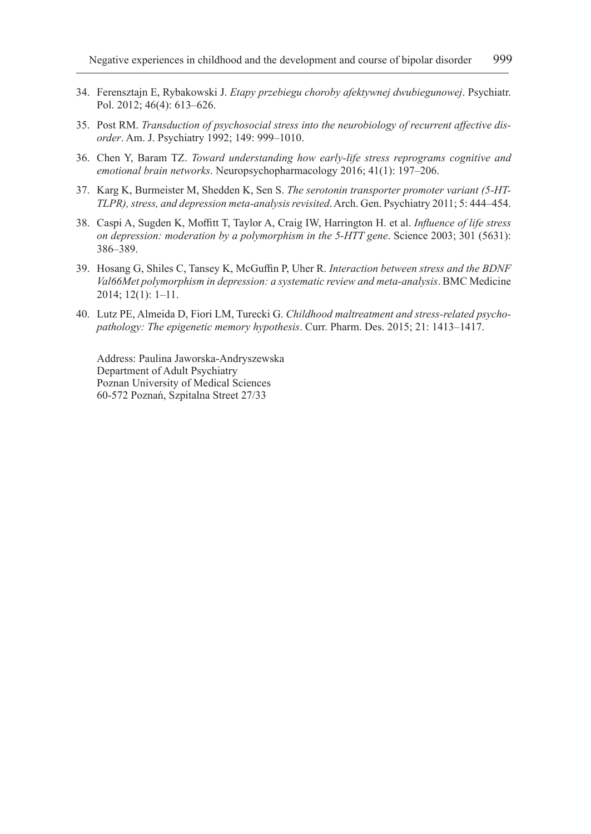- 34. Ferensztajn E, Rybakowski J. *Etapy przebiegu choroby afektywnej dwubiegunowej*. Psychiatr. Pol. 2012; 46(4): 613–626.
- 35. Post RM. *Transduction of psychosocial stress into the neurobiology of recurrent affective disorder*. Am. J. Psychiatry 1992; 149: 999–1010.
- 36. Chen Y, Baram TZ. *Toward understanding how early-life stress reprograms cognitive and emotional brain networks*. Neuropsychopharmacology 2016; 41(1): 197–206.
- 37. Karg K, Burmeister M, Shedden K, Sen S. *The serotonin transporter promoter variant (5-HT-TLPR), stress, and depression meta-analysis revisited*. Arch. Gen. Psychiatry 2011; 5: 444–454.
- 38. Caspi A, Sugden K, Moffitt T, Taylor A, Craig IW, Harrington H. et al. *Influence of life stress on depression: moderation by a polymorphism in the 5-HTT gene*. Science 2003; 301 (5631): 386–389.
- 39. Hosang G, Shiles C, Tansey K, McGuffin P, Uher R. *Interaction between stress and the BDNF Val66Met polymorphism in depression: a systematic review and meta-analysis*. BMC Medicine 2014; 12(1): 1–11.
- 40. Lutz PE, Almeida D, Fiori LM, Turecki G. *Childhood maltreatment and stress-related psychopathology: The epigenetic memory hypothesis*. Curr. Pharm. Des. 2015; 21: 1413–1417.

Address: Paulina Jaworska-Andryszewska Department of Adult Psychiatry Poznan University of Medical Sciences 60-572 Poznań, Szpitalna Street 27/33